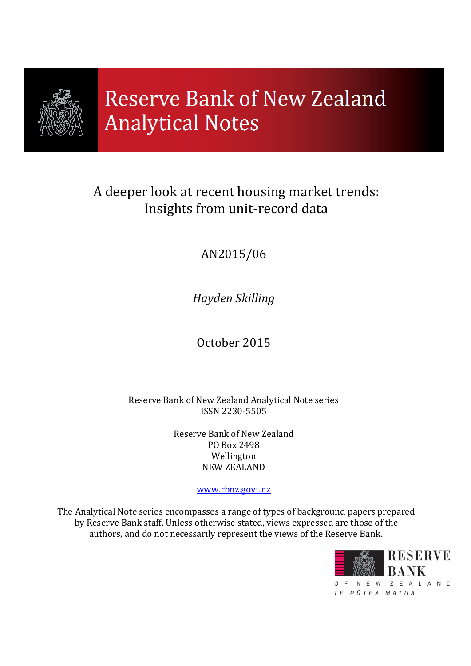

# **Reserve Bank of New Zealand Analytical Notes**

# A deeper look at recent housing market trends: Insights from unit-record data

# AN2015/06

## *Hayden Skilling*

October 2015

Reserve Bank of New Zealand Analytical Note series ISSN 2230-5505

> Reserve Bank of New Zealand PO Box 2498 Wellington NEW ZEALAND

> > [www.rbnz.govt.nz](http://www.rbnz.govt.nz/)

The Analytical Note series encompasses a range of types of background papers prepared by Reserve Bank staff. Unless otherwise stated, views expressed are those of the authors, and do not necessarily represent the views of the Reserve Bank.

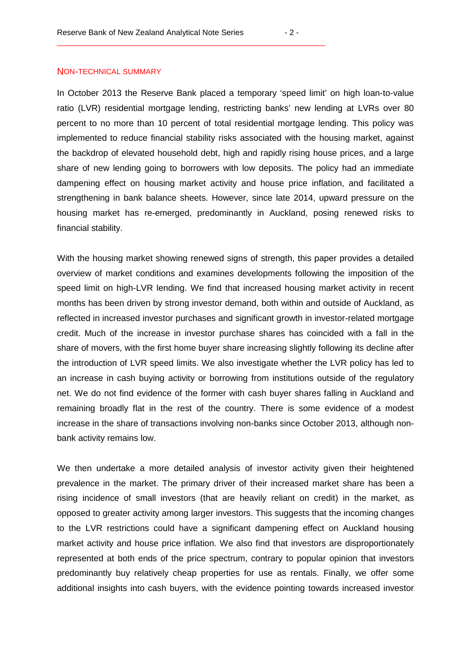#### NON-TECHNICAL SUMMARY

In October 2013 the Reserve Bank placed a temporary 'speed limit' on high loan-to-value ratio (LVR) residential mortgage lending, restricting banks' new lending at LVRs over 80 percent to no more than 10 percent of total residential mortgage lending. This policy was implemented to reduce financial stability risks associated with the housing market, against the backdrop of elevated household debt, high and rapidly rising house prices, and a large share of new lending going to borrowers with low deposits. The policy had an immediate dampening effect on housing market activity and house price inflation, and facilitated a strengthening in bank balance sheets. However, since late 2014, upward pressure on the housing market has re-emerged, predominantly in Auckland, posing renewed risks to financial stability.

With the housing market showing renewed signs of strength, this paper provides a detailed overview of market conditions and examines developments following the imposition of the speed limit on high-LVR lending. We find that increased housing market activity in recent months has been driven by strong investor demand, both within and outside of Auckland, as reflected in increased investor purchases and significant growth in investor-related mortgage credit. Much of the increase in investor purchase shares has coincided with a fall in the share of movers, with the first home buyer share increasing slightly following its decline after the introduction of LVR speed limits. We also investigate whether the LVR policy has led to an increase in cash buying activity or borrowing from institutions outside of the regulatory net. We do not find evidence of the former with cash buyer shares falling in Auckland and remaining broadly flat in the rest of the country. There is some evidence of a modest increase in the share of transactions involving non-banks since October 2013, although nonbank activity remains low.

We then undertake a more detailed analysis of investor activity given their heightened prevalence in the market. The primary driver of their increased market share has been a rising incidence of small investors (that are heavily reliant on credit) in the market, as opposed to greater activity among larger investors. This suggests that the incoming changes to the LVR restrictions could have a significant dampening effect on Auckland housing market activity and house price inflation. We also find that investors are disproportionately represented at both ends of the price spectrum, contrary to popular opinion that investors predominantly buy relatively cheap properties for use as rentals. Finally, we offer some additional insights into cash buyers, with the evidence pointing towards increased investor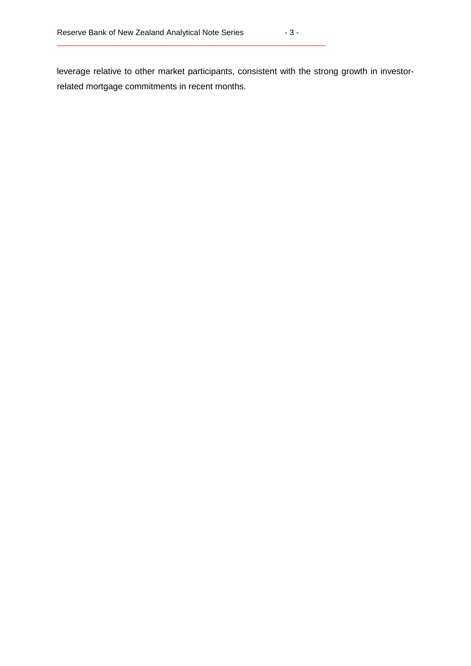leverage relative to other market participants, consistent with the strong growth in investorrelated mortgage commitments in recent months.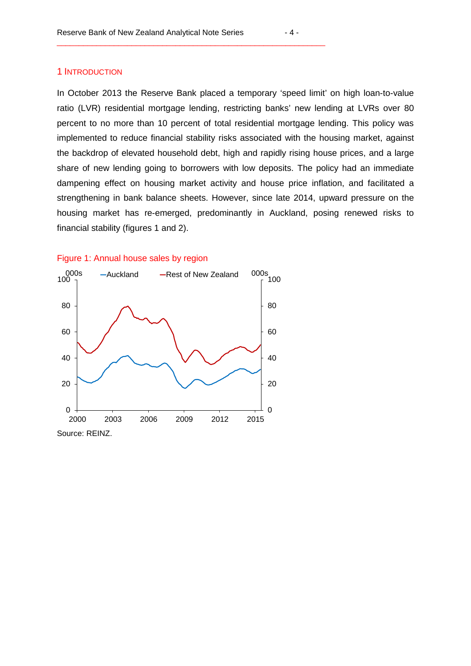#### 1 INTRODUCTION

In October 2013 the Reserve Bank placed a temporary 'speed limit' on high loan-to-value ratio (LVR) residential mortgage lending, restricting banks' new lending at LVRs over 80 percent to no more than 10 percent of total residential mortgage lending. This policy was implemented to reduce financial stability risks associated with the housing market, against the backdrop of elevated household debt, high and rapidly rising house prices, and a large share of new lending going to borrowers with low deposits. The policy had an immediate dampening effect on housing market activity and house price inflation, and facilitated a strengthening in bank balance sheets. However, since late 2014, upward pressure on the housing market has re-emerged, predominantly in Auckland, posing renewed risks to financial stability (figures 1 and 2).

#### Figure 1: Annual house sales by region

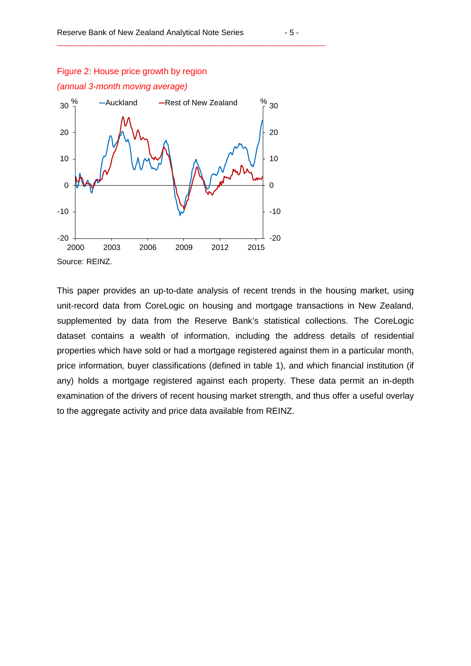# Figure 2: House price growth by region



This paper provides an up-to-date analysis of recent trends in the housing market, using unit-record data from CoreLogic on housing and mortgage transactions in New Zealand, supplemented by data from the Reserve Bank's statistical collections. The CoreLogic dataset contains a wealth of information, including the address details of residential properties which have sold or had a mortgage registered against them in a particular month, price information, buyer classifications (defined in table 1), and which financial institution (if any) holds a mortgage registered against each property. These data permit an in-depth examination of the drivers of recent housing market strength, and thus offer a useful overlay to the aggregate activity and price data available from REINZ.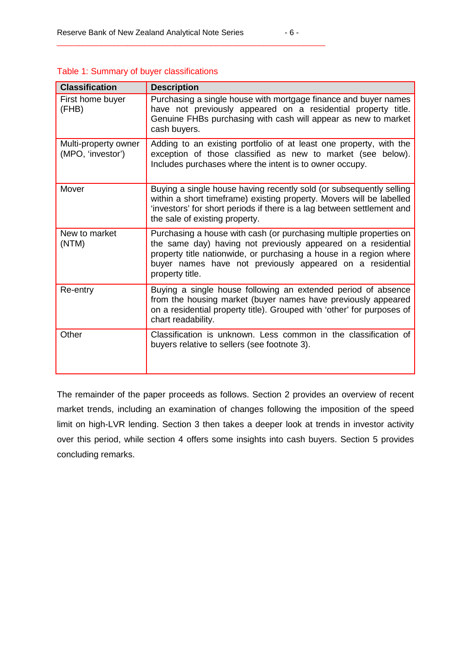| <b>Classification</b>                     | <b>Description</b>                                                                                                                                                                                                                                                                        |
|-------------------------------------------|-------------------------------------------------------------------------------------------------------------------------------------------------------------------------------------------------------------------------------------------------------------------------------------------|
| First home buyer<br>(FHB)                 | Purchasing a single house with mortgage finance and buyer names<br>have not previously appeared on a residential property title.<br>Genuine FHBs purchasing with cash will appear as new to market<br>cash buyers.                                                                        |
| Multi-property owner<br>(MPO, 'investor') | Adding to an existing portfolio of at least one property, with the<br>exception of those classified as new to market (see below).<br>Includes purchases where the intent is to owner occupy.                                                                                              |
| Mover                                     | Buying a single house having recently sold (or subsequently selling<br>within a short timeframe) existing property. Movers will be labelled<br>'investors' for short periods if there is a lag between settlement and<br>the sale of existing property.                                   |
| New to market<br>(NTM)                    | Purchasing a house with cash (or purchasing multiple properties on<br>the same day) having not previously appeared on a residential<br>property title nationwide, or purchasing a house in a region where<br>buyer names have not previously appeared on a residential<br>property title. |
| Re-entry                                  | Buying a single house following an extended period of absence<br>from the housing market (buyer names have previously appeared<br>on a residential property title). Grouped with 'other' for purposes of<br>chart readability.                                                            |
| Other                                     | Classification is unknown. Less common in the classification of<br>buyers relative to sellers (see footnote 3).                                                                                                                                                                           |

#### Table 1: Summary of buyer classifications

The remainder of the paper proceeds as follows. Section 2 provides an overview of recent market trends, including an examination of changes following the imposition of the speed limit on high-LVR lending. Section 3 then takes a deeper look at trends in investor activity over this period, while section 4 offers some insights into cash buyers. Section 5 provides concluding remarks.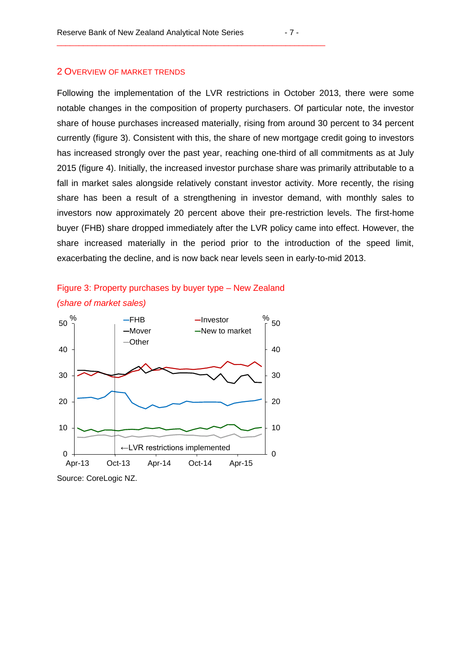#### 2 OVERVIEW OF MARKET TRENDS

Following the implementation of the LVR restrictions in October 2013, there were some notable changes in the composition of property purchasers. Of particular note, the investor share of house purchases increased materially, rising from around 30 percent to 34 percent currently (figure 3). Consistent with this, the share of new mortgage credit going to investors has increased strongly over the past year, reaching one-third of all commitments as at July 2015 (figure 4). Initially, the increased investor purchase share was primarily attributable to a fall in market sales alongside relatively constant investor activity. More recently, the rising share has been a result of a strengthening in investor demand, with monthly sales to investors now approximately 20 percent above their pre-restriction levels. The first-home buyer (FHB) share dropped immediately after the LVR policy came into effect. However, the share increased materially in the period prior to the introduction of the speed limit, exacerbating the decline, and is now back near levels seen in early-to-mid 2013.





Source: CoreLogic NZ.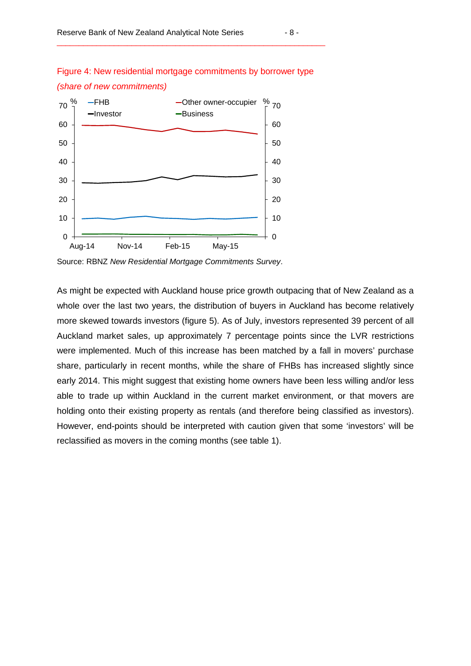

Figure 4: New residential mortgage commitments by borrower type *(share of new commitments)*

Source: RBNZ *New Residential Mortgage Commitments Survey*.

As might be expected with Auckland house price growth outpacing that of New Zealand as a whole over the last two years, the distribution of buyers in Auckland has become relatively more skewed towards investors (figure 5). As of July, investors represented 39 percent of all Auckland market sales, up approximately 7 percentage points since the LVR restrictions were implemented. Much of this increase has been matched by a fall in movers' purchase share, particularly in recent months, while the share of FHBs has increased slightly since early 2014. This might suggest that existing home owners have been less willing and/or less able to trade up within Auckland in the current market environment, or that movers are holding onto their existing property as rentals (and therefore being classified as investors). However, end-points should be interpreted with caution given that some 'investors' will be reclassified as movers in the coming months (see table 1).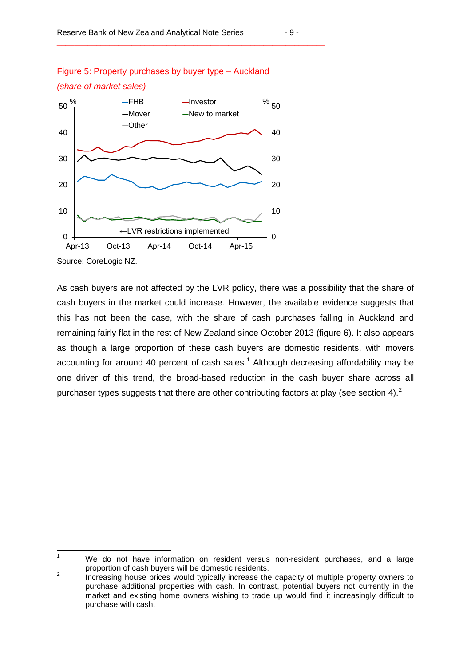

### Figure 5: Property purchases by buyer type – Auckland

\_\_\_\_\_\_\_\_\_\_\_\_\_\_\_\_\_\_\_\_\_\_\_\_\_\_\_\_\_\_\_\_\_\_\_\_\_\_\_\_\_\_\_\_\_\_\_\_\_\_\_\_\_\_\_\_\_\_\_\_\_

Source: CoreLogic NZ.

As cash buyers are not affected by the LVR policy, there was a possibility that the share of cash buyers in the market could increase. However, the available evidence suggests that this has not been the case, with the share of cash purchases falling in Auckland and remaining fairly flat in the rest of New Zealand since October 2013 (figure 6). It also appears as though a large proportion of these cash buyers are domestic residents, with movers accounting for around 40 percent of cash sales.<sup>[1](#page-8-0)</sup> Although decreasing affordability may be one driver of this trend, the broad-based reduction in the cash buyer share across all purchaser types suggests that there are other contributing factors at play (see section 4).<sup>[2](#page-8-1)</sup>

<span id="page-8-0"></span>We do not have information on resident versus non-resident purchases, and a large  $\overline{1}$ 

<span id="page-8-1"></span>proportion of cash buyers will be domestic residents.<br>
Increasing house prices would typically increase the capacity of multiple property owners to purchase additional properties with cash. In contrast, potential buyers not currently in the market and existing home owners wishing to trade up would find it increasingly difficult to purchase with cash.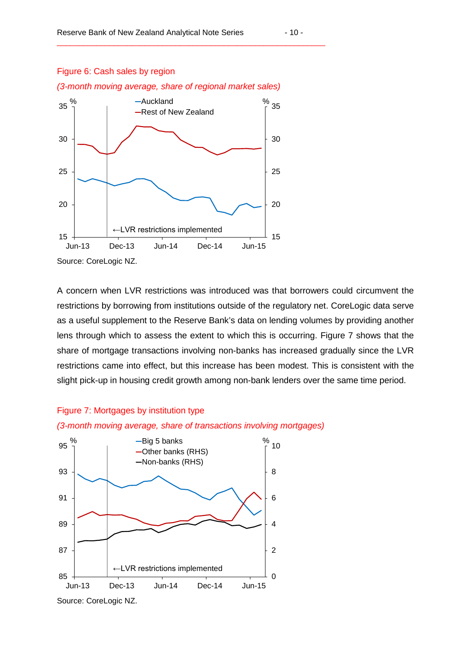#### Figure 6: Cash sales by region

#### *(3-month moving average, share of regional market sales)*

\_\_\_\_\_\_\_\_\_\_\_\_\_\_\_\_\_\_\_\_\_\_\_\_\_\_\_\_\_\_\_\_\_\_\_\_\_\_\_\_\_\_\_\_\_\_\_\_\_\_\_\_\_\_\_\_\_\_\_\_\_



A concern when LVR restrictions was introduced was that borrowers could circumvent the restrictions by borrowing from institutions outside of the regulatory net. CoreLogic data serve as a useful supplement to the Reserve Bank's data on lending volumes by providing another lens through which to assess the extent to which this is occurring. Figure 7 shows that the share of mortgage transactions involving non-banks has increased gradually since the LVR restrictions came into effect, but this increase has been modest. This is consistent with the slight pick-up in housing credit growth among non-bank lenders over the same time period.

#### Figure 7: Mortgages by institution type



*(3-month moving average, share of transactions involving mortgages)*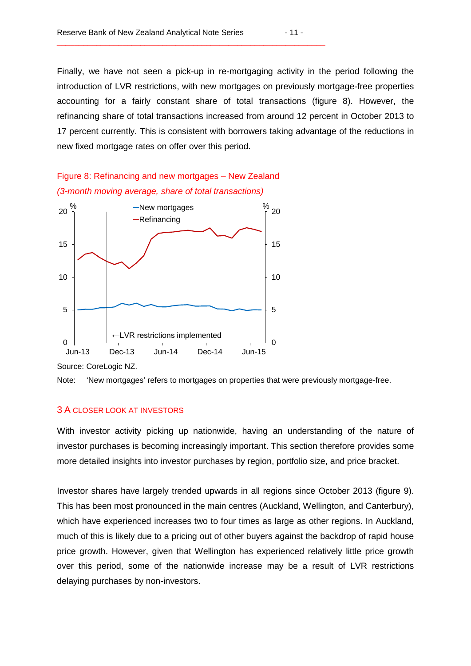Finally, we have not seen a pick-up in re-mortgaging activity in the period following the introduction of LVR restrictions, with new mortgages on previously mortgage-free properties accounting for a fairly constant share of total transactions (figure 8). However, the refinancing share of total transactions increased from around 12 percent in October 2013 to 17 percent currently. This is consistent with borrowers taking advantage of the reductions in new fixed mortgage rates on offer over this period.





#### 3 A CLOSER LOOK AT INVESTORS

With investor activity picking up nationwide, having an understanding of the nature of investor purchases is becoming increasingly important. This section therefore provides some more detailed insights into investor purchases by region, portfolio size, and price bracket.

Investor shares have largely trended upwards in all regions since October 2013 (figure 9). This has been most pronounced in the main centres (Auckland, Wellington, and Canterbury), which have experienced increases two to four times as large as other regions. In Auckland, much of this is likely due to a pricing out of other buyers against the backdrop of rapid house price growth. However, given that Wellington has experienced relatively little price growth over this period, some of the nationwide increase may be a result of LVR restrictions delaying purchases by non-investors.

Source: CoreLogic NZ.

Note: 'New mortgages' refers to mortgages on properties that were previously mortgage-free.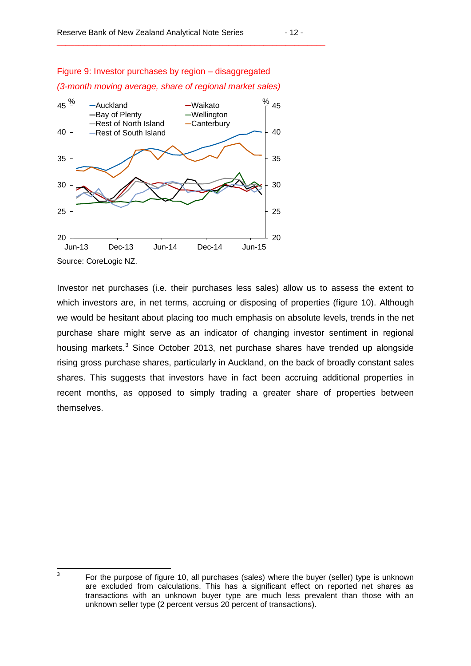### Figure 9: Investor purchases by region – disaggregated

\_\_\_\_\_\_\_\_\_\_\_\_\_\_\_\_\_\_\_\_\_\_\_\_\_\_\_\_\_\_\_\_\_\_\_\_\_\_\_\_\_\_\_\_\_\_\_\_\_\_\_\_\_\_\_\_\_\_\_\_\_





Investor net purchases (i.e. their purchases less sales) allow us to assess the extent to which investors are, in net terms, accruing or disposing of properties (figure 10). Although we would be hesitant about placing too much emphasis on absolute levels, trends in the net purchase share might serve as an indicator of changing investor sentiment in regional housing markets.<sup>[3](#page-11-0)</sup> Since October 2013, net purchase shares have trended up alongside rising gross purchase shares, particularly in Auckland, on the back of broadly constant sales shares. This suggests that investors have in fact been accruing additional properties in recent months, as opposed to simply trading a greater share of properties between themselves.

<span id="page-11-0"></span><sup>3</sup> For the purpose of figure 10, all purchases (sales) where the buyer (seller) type is unknown are excluded from calculations. This has a significant effect on reported net shares as transactions with an unknown buyer type are much less prevalent than those with an unknown seller type (2 percent versus 20 percent of transactions).  $\overline{3}$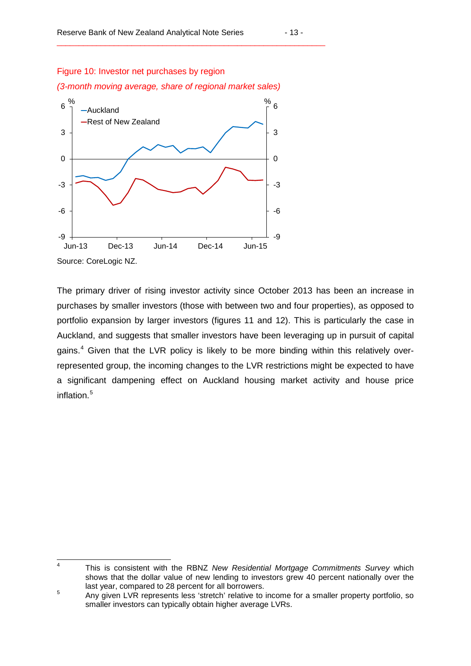#### Figure 10: Investor net purchases by region

*(3-month moving average, share of regional market sales)*

\_\_\_\_\_\_\_\_\_\_\_\_\_\_\_\_\_\_\_\_\_\_\_\_\_\_\_\_\_\_\_\_\_\_\_\_\_\_\_\_\_\_\_\_\_\_\_\_\_\_\_\_\_\_\_\_\_\_\_\_\_



The primary driver of rising investor activity since October 2013 has been an increase in purchases by smaller investors (those with between two and four properties), as opposed to portfolio expansion by larger investors (figures 11 and 12). This is particularly the case in Auckland, and suggests that smaller investors have been leveraging up in pursuit of capital gains.<sup>[4](#page-12-0)</sup> Given that the LVR policy is likely to be more binding within this relatively overrepresented group, the incoming changes to the LVR restrictions might be expected to have a significant dampening effect on Auckland housing market activity and house price inflation.<sup>[5](#page-12-1)</sup>

<span id="page-12-0"></span><sup>4</sup> This is consistent with the RBNZ *New Residential Mortgage Commitments Survey* which shows that the dollar value of new lending to investors grew 40 percent nationally over the last year, compared to 28 percent for all borrowers.  $\overline{4}$ 

<span id="page-12-1"></span><sup>&</sup>lt;sup>5</sup> Any given LVR represents less 'stretch' relative to income for a smaller property portfolio, so smaller investors can typically obtain higher average LVRs.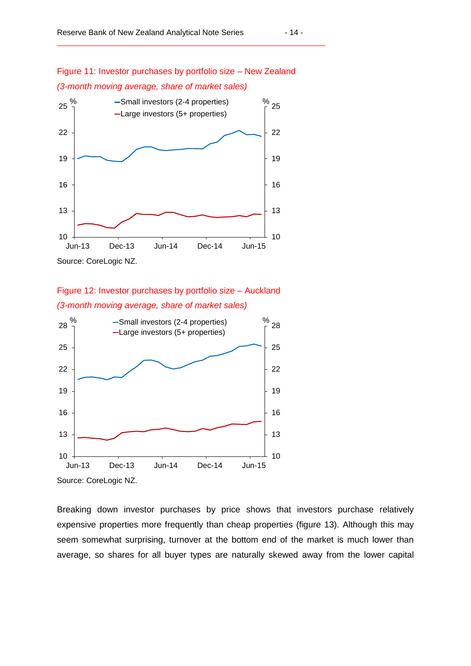



### Figure 12: Investor purchases by portfolio size – Auckland *(3-month moving average, share of market sales)*



Breaking down investor purchases by price shows that investors purchase relatively expensive properties more frequently than cheap properties (figure 13). Although this may seem somewhat surprising, turnover at the bottom end of the market is much lower than average, so shares for all buyer types are naturally skewed away from the lower capital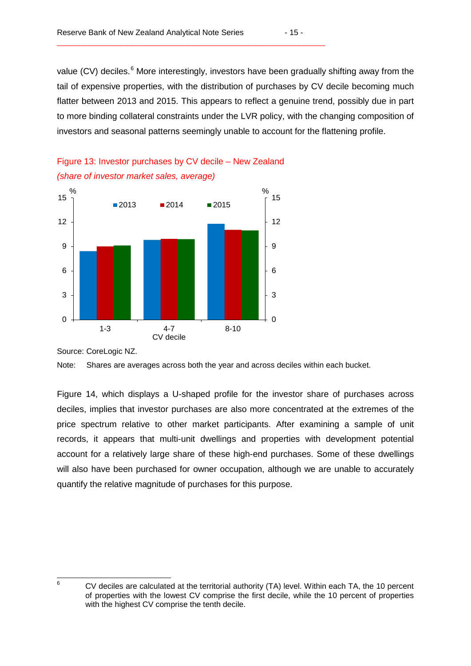value (CV) deciles.<sup>[6](#page-14-0)</sup> More interestingly, investors have been gradually shifting away from the tail of expensive properties, with the distribution of purchases by CV decile becoming much flatter between 2013 and 2015. This appears to reflect a genuine trend, possibly due in part to more binding collateral constraints under the LVR policy, with the changing composition of investors and seasonal patterns seemingly unable to account for the flattening profile.





Figure 14, which displays a U-shaped profile for the investor share of purchases across deciles, implies that investor purchases are also more concentrated at the extremes of the price spectrum relative to other market participants. After examining a sample of unit records, it appears that multi-unit dwellings and properties with development potential account for a relatively large share of these high-end purchases. Some of these dwellings will also have been purchased for owner occupation, although we are unable to accurately quantify the relative magnitude of purchases for this purpose.

Source: CoreLogic NZ.

Note: Shares are averages across both the year and across deciles within each bucket.

<span id="page-14-0"></span> $\epsilon$ 

<sup>6</sup> CV deciles are calculated at the territorial authority (TA) level. Within each TA, the 10 percent of properties with the lowest CV comprise the first decile, while the 10 percent of properties with the highest CV comprise the tenth decile.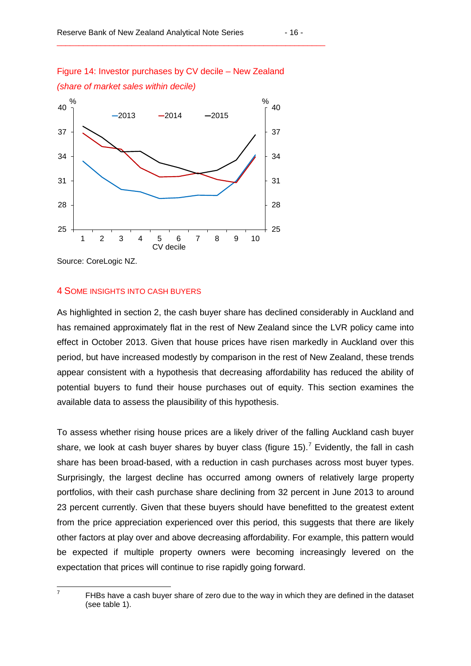



Source: CoreLogic NZ.

#### 4 SOME INSIGHTS INTO CASH BUYERS

As highlighted in section 2, the cash buyer share has declined considerably in Auckland and has remained approximately flat in the rest of New Zealand since the LVR policy came into effect in October 2013. Given that house prices have risen markedly in Auckland over this period, but have increased modestly by comparison in the rest of New Zealand, these trends appear consistent with a hypothesis that decreasing affordability has reduced the ability of potential buyers to fund their house purchases out of equity. This section examines the available data to assess the plausibility of this hypothesis.

To assess whether rising house prices are a likely driver of the falling Auckland cash buyer share, we look at cash buyer shares by buyer class (figure 15).<sup>[7](#page-15-0)</sup> Evidently, the fall in cash share has been broad-based, with a reduction in cash purchases across most buyer types. Surprisingly, the largest decline has occurred among owners of relatively large property portfolios, with their cash purchase share declining from 32 percent in June 2013 to around 23 percent currently. Given that these buyers should have benefitted to the greatest extent from the price appreciation experienced over this period, this suggests that there are likely other factors at play over and above decreasing affordability. For example, this pattern would be expected if multiple property owners were becoming increasingly levered on the expectation that prices will continue to rise rapidly going forward.

<span id="page-15-0"></span> $\overline{7}$ 

FHBs have a cash buyer share of zero due to the way in which they are defined in the dataset (see table 1).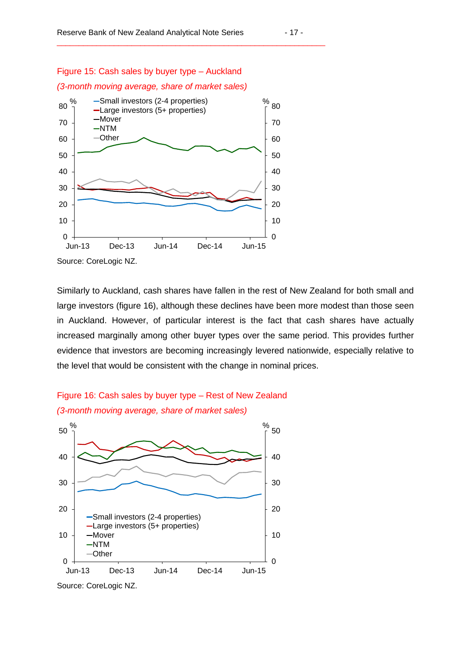#### Figure 15: Cash sales by buyer type – Auckland



*(3-month moving average, share of market sales)*

Similarly to Auckland, cash shares have fallen in the rest of New Zealand for both small and large investors (figure 16), although these declines have been more modest than those seen in Auckland. However, of particular interest is the fact that cash shares have actually increased marginally among other buyer types over the same period. This provides further evidence that investors are becoming increasingly levered nationwide, especially relative to the level that would be consistent with the change in nominal prices.





Source: CoreLogic NZ.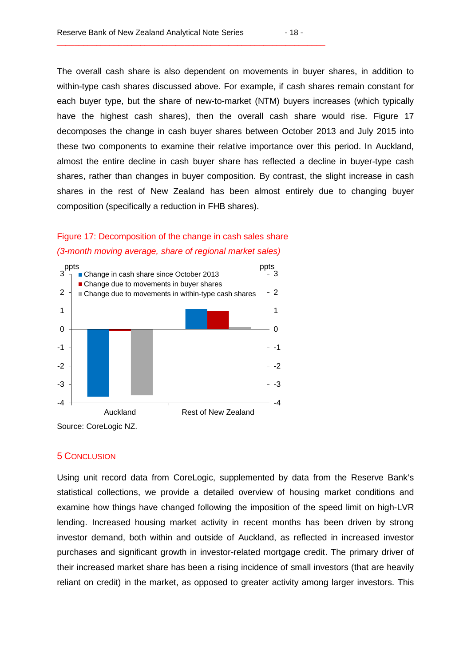The overall cash share is also dependent on movements in buyer shares, in addition to within-type cash shares discussed above. For example, if cash shares remain constant for each buyer type, but the share of new-to-market (NTM) buyers increases (which typically have the highest cash shares), then the overall cash share would rise. Figure 17 decomposes the change in cash buyer shares between October 2013 and July 2015 into these two components to examine their relative importance over this period. In Auckland, almost the entire decline in cash buyer share has reflected a decline in buyer-type cash shares, rather than changes in buyer composition. By contrast, the slight increase in cash shares in the rest of New Zealand has been almost entirely due to changing buyer composition (specifically a reduction in FHB shares).

### Figure 17: Decomposition of the change in cash sales share *(3-month moving average, share of regional market sales)*



#### 5 CONCLUSION

Using unit record data from CoreLogic, supplemented by data from the Reserve Bank's statistical collections, we provide a detailed overview of housing market conditions and examine how things have changed following the imposition of the speed limit on high-LVR lending. Increased housing market activity in recent months has been driven by strong investor demand, both within and outside of Auckland, as reflected in increased investor purchases and significant growth in investor-related mortgage credit. The primary driver of their increased market share has been a rising incidence of small investors (that are heavily reliant on credit) in the market, as opposed to greater activity among larger investors. This